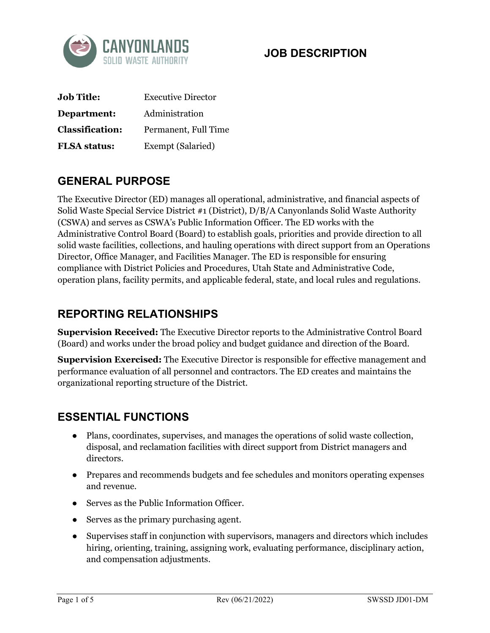

#### **JOB DESCRIPTION**

| <b>Job Title:</b>      | <b>Executive Director</b> |
|------------------------|---------------------------|
| Department:            | Administration            |
| <b>Classification:</b> | Permanent, Full Time      |
| <b>FLSA</b> status:    | Exempt (Salaried)         |

### **GENERAL PURPOSE**

The Executive Director (ED) manages all operational, administrative, and financial aspects of Solid Waste Special Service District #1 (District), D/B/A Canyonlands Solid Waste Authority (CSWA) and serves as CSWA's Public Information Officer. The ED works with the Administrative Control Board (Board) to establish goals, priorities and provide direction to all solid waste facilities, collections, and hauling operations with direct support from an Operations Director, Office Manager, and Facilities Manager. The ED is responsible for ensuring compliance with District Policies and Procedures, Utah State and Administrative Code, operation plans, facility permits, and applicable federal, state, and local rules and regulations.

#### **REPORTING RELATIONSHIPS**

**Supervision Received:** The Executive Director reports to the Administrative Control Board (Board) and works under the broad policy and budget guidance and direction of the Board.

**Supervision Exercised:** The Executive Director is responsible for effective management and performance evaluation of all personnel and contractors. The ED creates and maintains the organizational reporting structure of the District.

#### **ESSENTIAL FUNCTIONS**

- Plans, coordinates, supervises, and manages the operations of solid waste collection, disposal, and reclamation facilities with direct support from District managers and directors.
- Prepares and recommends budgets and fee schedules and monitors operating expenses and revenue.
- Serves as the Public Information Officer.
- Serves as the primary purchasing agent.
- Supervises staff in conjunction with supervisors, managers and directors which includes hiring, orienting, training, assigning work, evaluating performance, disciplinary action, and compensation adjustments.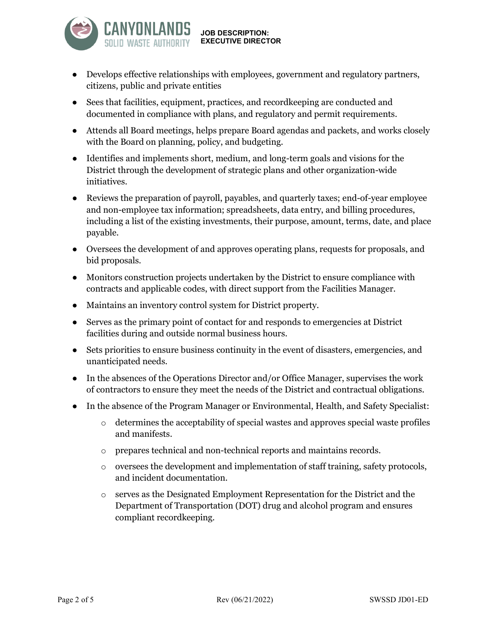

**JOB DESCRIPTION: EXECUTIVE DIRECTOR**

- Develops effective relationships with employees, government and regulatory partners, citizens, public and private entities
- Sees that facilities, equipment, practices, and recordkeeping are conducted and documented in compliance with plans, and regulatory and permit requirements.
- Attends all Board meetings, helps prepare Board agendas and packets, and works closely with the Board on planning, policy, and budgeting.
- Identifies and implements short, medium, and long-term goals and visions for the District through the development of strategic plans and other organization-wide initiatives.
- Reviews the preparation of payroll, payables, and quarterly taxes; end-of-year employee and non-employee tax information; spreadsheets, data entry, and billing procedures, including a list of the existing investments, their purpose, amount, terms, date, and place payable.
- Oversees the development of and approves operating plans, requests for proposals, and bid proposals.
- Monitors construction projects undertaken by the District to ensure compliance with contracts and applicable codes, with direct support from the Facilities Manager.
- Maintains an inventory control system for District property.
- Serves as the primary point of contact for and responds to emergencies at District facilities during and outside normal business hours.
- Sets priorities to ensure business continuity in the event of disasters, emergencies, and unanticipated needs.
- In the absences of the Operations Director and/or Office Manager, supervises the work of contractors to ensure they meet the needs of the District and contractual obligations.
- In the absence of the Program Manager or Environmental, Health, and Safety Specialist:
	- $\circ$  determines the acceptability of special wastes and approves special waste profiles and manifests.
	- o prepares technical and non-technical reports and maintains records.
	- $\circ$  oversees the development and implementation of staff training, safety protocols, and incident documentation.
	- o serves as the Designated Employment Representation for the District and the Department of Transportation (DOT) drug and alcohol program and ensures compliant recordkeeping.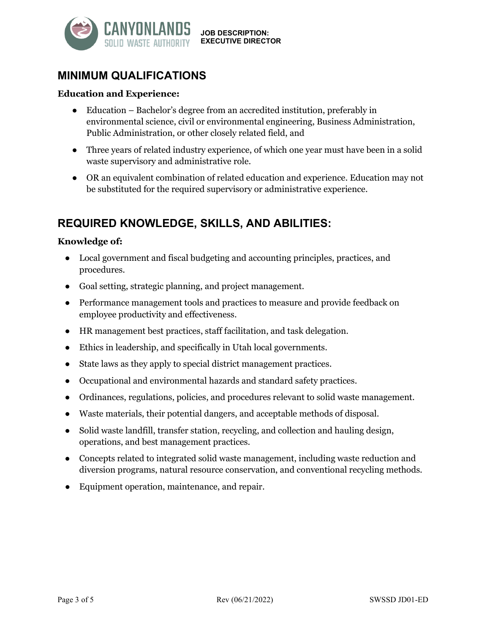

**EXECUTIVE DIRECTOR**

## **MINIMUM QUALIFICATIONS**

#### **Education and Experience:**

- Education Bachelor's degree from an accredited institution, preferably in environmental science, civil or environmental engineering, Business Administration, Public Administration, or other closely related field, and
- Three years of related industry experience, of which one year must have been in a solid waste supervisory and administrative role.
- OR an equivalent combination of related education and experience. Education may not be substituted for the required supervisory or administrative experience.

### **REQUIRED KNOWLEDGE, SKILLS, AND ABILITIES:**

#### **Knowledge of:**

- Local government and fiscal budgeting and accounting principles, practices, and procedures.
- Goal setting, strategic planning, and project management.
- Performance management tools and practices to measure and provide feedback on employee productivity and effectiveness.
- HR management best practices, staff facilitation, and task delegation.
- Ethics in leadership, and specifically in Utah local governments.
- State laws as they apply to special district management practices.
- Occupational and environmental hazards and standard safety practices.
- Ordinances, regulations, policies, and procedures relevant to solid waste management.
- Waste materials, their potential dangers, and acceptable methods of disposal.
- Solid waste landfill, transfer station, recycling, and collection and hauling design, operations, and best management practices.
- Concepts related to integrated solid waste management, including waste reduction and diversion programs, natural resource conservation, and conventional recycling methods.
- Equipment operation, maintenance, and repair.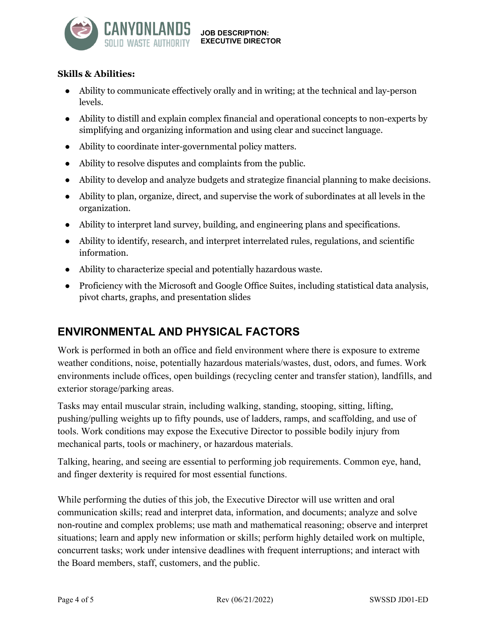

**JOB DESCRIPTION: EXECUTIVE DIRECTOR**

#### **Skills & Abilities:**

- Ability to communicate effectively orally and in writing; at the technical and lay-person levels.
- Ability to distill and explain complex financial and operational concepts to non-experts by simplifying and organizing information and using clear and succinct language.
- Ability to coordinate inter-governmental policy matters.
- Ability to resolve disputes and complaints from the public.
- Ability to develop and analyze budgets and strategize financial planning to make decisions.
- Ability to plan, organize, direct, and supervise the work of subordinates at all levels in the organization.
- Ability to interpret land survey, building, and engineering plans and specifications.
- Ability to identify, research, and interpret interrelated rules, regulations, and scientific information.
- Ability to characterize special and potentially hazardous waste.
- Proficiency with the Microsoft and Google Office Suites, including statistical data analysis, pivot charts, graphs, and presentation slides

## **ENVIRONMENTAL AND PHYSICAL FACTORS**

Work is performed in both an office and field environment where there is exposure to extreme weather conditions, noise, potentially hazardous materials/wastes, dust, odors, and fumes. Work environments include offices, open buildings (recycling center and transfer station), landfills, and exterior storage/parking areas.

Tasks may entail muscular strain, including walking, standing, stooping, sitting, lifting, pushing/pulling weights up to fifty pounds, use of ladders, ramps, and scaffolding, and use of tools. Work conditions may expose the Executive Director to possible bodily injury from mechanical parts, tools or machinery, or hazardous materials.

Talking, hearing, and seeing are essential to performing job requirements. Common eye, hand, and finger dexterity is required for most essential functions.

While performing the duties of this job, the Executive Director will use written and oral communication skills; read and interpret data, information, and documents; analyze and solve non-routine and complex problems; use math and mathematical reasoning; observe and interpret situations; learn and apply new information or skills; perform highly detailed work on multiple, concurrent tasks; work under intensive deadlines with frequent interruptions; and interact with the Board members, staff, customers, and the public.